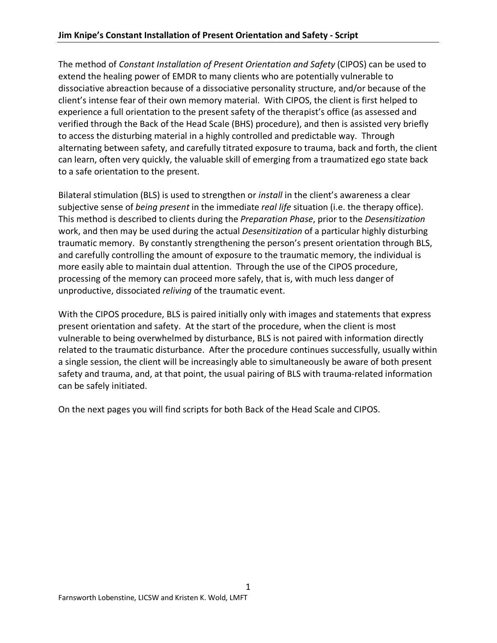The method of *Constant Installation of Present Orientation and Safety* (CIPOS) can be used to extend the healing power of EMDR to many clients who are potentially vulnerable to dissociative abreaction because of a dissociative personality structure, and/or because of the client's intense fear of their own memory material. With CIPOS, the client is first helped to experience a full orientation to the present safety of the therapist's office (as assessed and verified through the Back of the Head Scale (BHS) procedure), and then is assisted very briefly to access the disturbing material in a highly controlled and predictable way. Through alternating between safety, and carefully titrated exposure to trauma, back and forth, the client can learn, often very quickly, the valuable skill of emerging from a traumatized ego state back to a safe orientation to the present.

Bilateral stimulation (BLS) is used to strengthen or *install* in the client's awareness a clear subjective sense of *being present* in the immediate *real life* situation (i.e. the therapy office). This method is described to clients during the *Preparation Phase*, prior to the *Desensitization* work, and then may be used during the actual *Desensitization* of a particular highly disturbing traumatic memory. By constantly strengthening the person's present orientation through BLS, and carefully controlling the amount of exposure to the traumatic memory, the individual is more easily able to maintain dual attention. Through the use of the CIPOS procedure, processing of the memory can proceed more safely, that is, with much less danger of unproductive, dissociated *reliving* of the traumatic event.

With the CIPOS procedure, BLS is paired initially only with images and statements that express present orientation and safety. At the start of the procedure, when the client is most vulnerable to being overwhelmed by disturbance, BLS is not paired with information directly related to the traumatic disturbance. After the procedure continues successfully, usually within a single session, the client will be increasingly able to simultaneously be aware of both present safety and trauma, and, at that point, the usual pairing of BLS with trauma-related information can be safely initiated.

On the next pages you will find scripts for both Back of the Head Scale and CIPOS.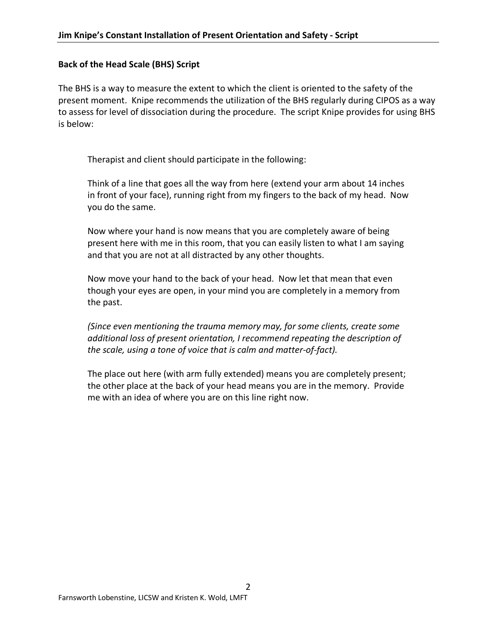# **Back of the Head Scale (BHS) Script**

The BHS is a way to measure the extent to which the client is oriented to the safety of the present moment. Knipe recommends the utilization of the BHS regularly during CIPOS as a way to assess for level of dissociation during the procedure. The script Knipe provides for using BHS is below:

Therapist and client should participate in the following:

Think of a line that goes all the way from here (extend your arm about 14 inches in front of your face), running right from my fingers to the back of my head. Now you do the same.

Now where your hand is now means that you are completely aware of being present here with me in this room, that you can easily listen to what I am saying and that you are not at all distracted by any other thoughts.

Now move your hand to the back of your head. Now let that mean that even though your eyes are open, in your mind you are completely in a memory from the past.

*(Since even mentioning the trauma memory may, for some clients, create some additional loss of present orientation, I recommend repeating the description of the scale, using a tone of voice that is calm and matter-of-fact).* 

The place out here (with arm fully extended) means you are completely present; the other place at the back of your head means you are in the memory. Provide me with an idea of where you are on this line right now.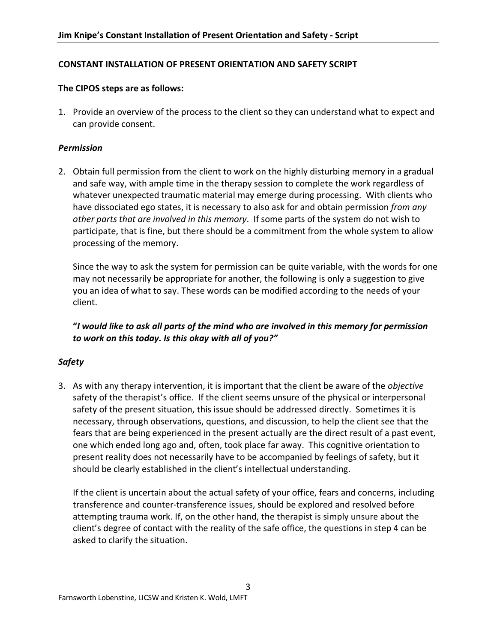# **CONSTANT INSTALLATION OF PRESENT ORIENTATION AND SAFETY SCRIPT**

#### **The CIPOS steps are as follows:**

1. Provide an overview of the process to the client so they can understand what to expect and can provide consent.

#### *Permission*

2. Obtain full permission from the client to work on the highly disturbing memory in a gradual and safe way, with ample time in the therapy session to complete the work regardless of whatever unexpected traumatic material may emerge during processing. With clients who have dissociated ego states, it is necessary to also ask for and obtain permission *from any other parts that are involved in this memory*. If some parts of the system do not wish to participate, that is fine, but there should be a commitment from the whole system to allow processing of the memory.

Since the way to ask the system for permission can be quite variable, with the words for one may not necessarily be appropriate for another, the following is only a suggestion to give you an idea of what to say. These words can be modified according to the needs of your client.

**"***I would like to ask all parts of the mind who are involved in this memory for permission to work on this today. Is this okay with all of you?"*

# *Safety*

3. As with any therapy intervention, it is important that the client be aware of the *objective* safety of the therapist's office. If the client seems unsure of the physical or interpersonal safety of the present situation, this issue should be addressed directly. Sometimes it is necessary, through observations, questions, and discussion, to help the client see that the fears that are being experienced in the present actually are the direct result of a past event, one which ended long ago and, often, took place far away. This cognitive orientation to present reality does not necessarily have to be accompanied by feelings of safety, but it should be clearly established in the client's intellectual understanding.

If the client is uncertain about the actual safety of your office, fears and concerns, including transference and counter-transference issues, should be explored and resolved before attempting trauma work. If, on the other hand, the therapist is simply unsure about the client's degree of contact with the reality of the safe office, the questions in step 4 can be asked to clarify the situation.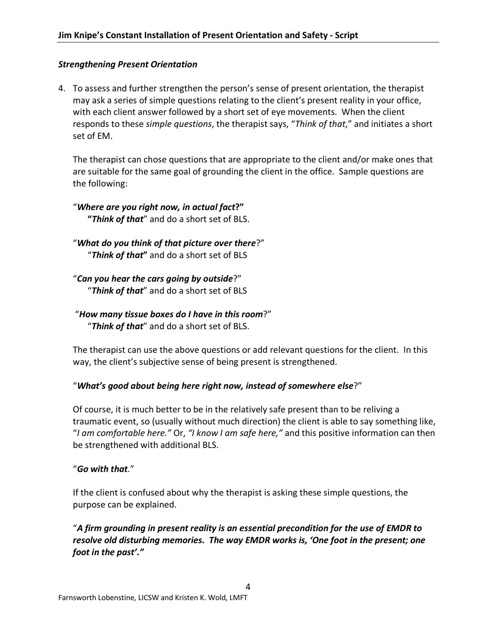# *Strengthening Present Orientation*

4. To assess and further strengthen the person's sense of present orientation, the therapist may ask a series of simple questions relating to the client's present reality in your office, with each client answer followed by a short set of eye movements. When the client responds to these *simple questions*, the therapist says, "*Think of that*," and initiates a short set of EM.

The therapist can chose questions that are appropriate to the client and/or make ones that are suitable for the same goal of grounding the client in the office. Sample questions are the following:

"*Where are you right now, in actual fact***?" "***Think of that*" and do a short set of BLS.

"*What do you think of that picture over there*?" "*Think of that***"** and do a short set of BLS

"*Can you hear the cars going by outside*?" "*Think of that*" and do a short set of BLS

"*How many tissue boxes do I have in this room*?" "*Think of that*" and do a short set of BLS.

The therapist can use the above questions or add relevant questions for the client. In this way, the client's subjective sense of being present is strengthened.

# "*What's good about being here right now, instead of somewhere else*?"

Of course, it is much better to be in the relatively safe present than to be reliving a traumatic event, so (usually without much direction) the client is able to say something like, "*I am comfortable here."* Or, *"I know I am safe here,"* and this positive information can then be strengthened with additional BLS.

# "*Go with that*."

If the client is confused about why the therapist is asking these simple questions, the purpose can be explained.

"*A firm grounding in present reality is an essential precondition for the use of EMDR to resolve old disturbing memories. The way EMDR works is, 'One foot in the present; one foot in the past'."*

4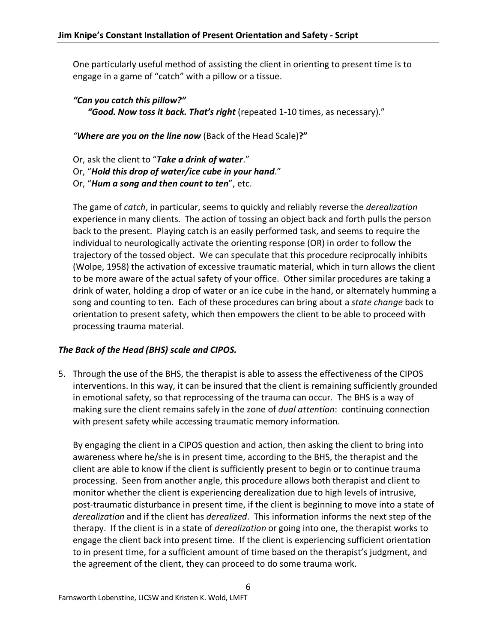One particularly useful method of assisting the client in orienting to present time is to engage in a game of "catch" with a pillow or a tissue.

## *"Can you catch this pillow?"*

*"Good. Now toss it back. That's right* (repeated 1-10 times, as necessary)."

*"Where are you on the line now* (Back of the Head Scale)**?"**

Or, ask the client to "*Take a drink of water*." Or, "*Hold this drop of water/ice cube in your hand*." Or, "*Hum a song and then count to ten*", etc.

The game of *catch*, in particular, seems to quickly and reliably reverse the *derealization* experience in many clients. The action of tossing an object back and forth pulls the person back to the present. Playing catch is an easily performed task, and seems to require the individual to neurologically activate the orienting response (OR) in order to follow the trajectory of the tossed object. We can speculate that this procedure reciprocally inhibits (Wolpe, 1958) the activation of excessive traumatic material, which in turn allows the client to be more aware of the actual safety of your office. Other similar procedures are taking a drink of water, holding a drop of water or an ice cube in the hand, or alternately humming a song and counting to ten. Each of these procedures can bring about a *state change* back to orientation to present safety, which then empowers the client to be able to proceed with processing trauma material.

# *The Back of the Head (BHS) scale and CIPOS.*

5. Through the use of the BHS, the therapist is able to assess the effectiveness of the CIPOS interventions. In this way, it can be insured that the client is remaining sufficiently grounded in emotional safety, so that reprocessing of the trauma can occur. The BHS is a way of making sure the client remains safely in the zone of *dual attention*: continuing connection with present safety while accessing traumatic memory information.

By engaging the client in a CIPOS question and action, then asking the client to bring into awareness where he/she is in present time, according to the BHS, the therapist and the client are able to know if the client is sufficiently present to begin or to continue trauma processing. Seen from another angle, this procedure allows both therapist and client to monitor whether the client is experiencing derealization due to high levels of intrusive, post-traumatic disturbance in present time, if the client is beginning to move into a state of *derealization* and if the client has *derealized*. This information informs the next step of the therapy. If the client is in a state of *derealization* or going into one, the therapist works to engage the client back into present time. If the client is experiencing sufficient orientation to in present time, for a sufficient amount of time based on the therapist's judgment, and the agreement of the client, they can proceed to do some trauma work.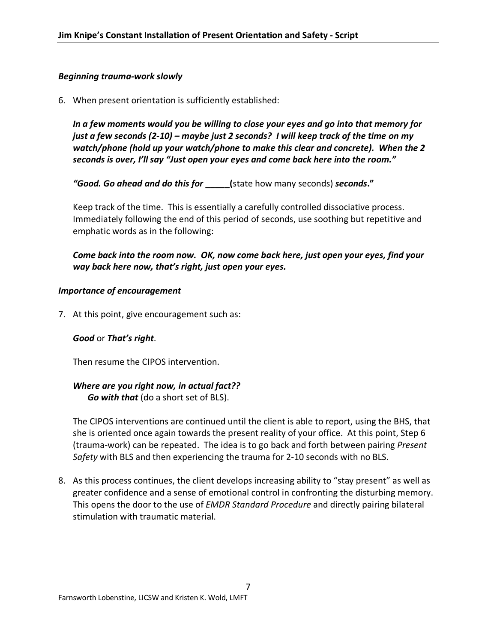## *Beginning trauma-work slowly*

6. When present orientation is sufficiently established:

*In a few moments would you be willing to close your eyes and go into that memory for just a few seconds (2-10) – maybe just 2 seconds? I will keep track of the time on my watch/phone (hold up your watch/phone to make this clear and concrete). When the 2 seconds is over, I'll say "Just open your eyes and come back here into the room."*

*"Good. Go ahead and do this for* **\_\_\_\_\_(**state how many seconds) *seconds***."**

Keep track of the time. This is essentially a carefully controlled dissociative process. Immediately following the end of this period of seconds, use soothing but repetitive and emphatic words as in the following:

*Come back into the room now. OK, now come back here, just open your eyes, find your way back here now, that's right, just open your eyes.*

# *Importance of encouragement*

7. At this point, give encouragement such as:

# *Good* or *That's right*.

Then resume the CIPOS intervention.

## *Where are you right now, in actual fact?? Go with that* (do a short set of BLS).

The CIPOS interventions are continued until the client is able to report, using the BHS, that she is oriented once again towards the present reality of your office. At this point, Step 6 (trauma-work) can be repeated. The idea is to go back and forth between pairing *Present Safety* with BLS and then experiencing the trauma for 2-10 seconds with no BLS.

8. As this process continues, the client develops increasing ability to "stay present" as well as greater confidence and a sense of emotional control in confronting the disturbing memory. This opens the door to the use of *EMDR Standard Procedure* and directly pairing bilateral stimulation with traumatic material.